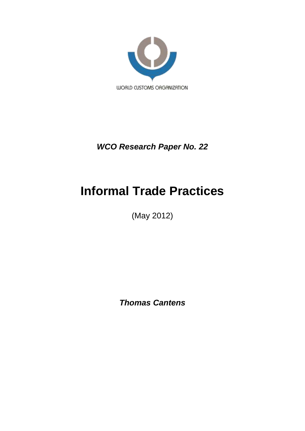

*WCO Research Paper No. 22*

# **Informal Trade Practices**

(May 2012)

*Thomas Cantens*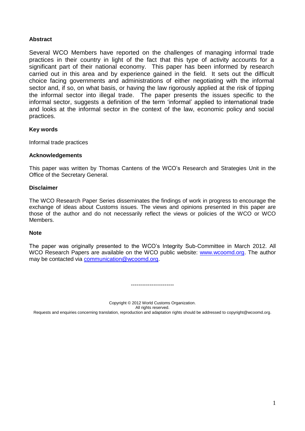# **Abstract**

Several WCO Members have reported on the challenges of managing informal trade practices in their country in light of the fact that this type of activity accounts for a significant part of their national economy. This paper has been informed by research carried out in this area and by experience gained in the field. It sets out the difficult choice facing governments and administrations of either negotiating with the informal sector and, if so, on what basis, or having the law rigorously applied at the risk of tipping the informal sector into illegal trade. The paper presents the issues specific to the informal sector, suggests a definition of the term 'informal' applied to international trade and looks at the informal sector in the context of the law, economic policy and social practices.

# **Key words**

Informal trade practices

# **Acknowledgements**

This paper was written by Thomas Cantens of the WCO's Research and Strategies Unit in the Office of the Secretary General.

### **Disclaimer**

The WCO Research Paper Series disseminates the findings of work in progress to encourage the exchange of ideas about Customs issues. The views and opinions presented in this paper are those of the author and do not necessarily reflect the views or policies of the WCO or WCO Members.

#### **Note**

The paper was originally presented to the WCO's Integrity Sub-Committee in March 2012. All WCO Research Papers are available on the WCO public website: [www.wcoomd.org.](http://www.wcoomd.org/) The author may be contacted via [communication@wcoomd.org.](mailto:communication@wcoomd.org)

Copyright © 2012 World Customs Organization. All rights reserved. Requests and enquiries concerning translation, reproduction and adaptation rights should be addressed to copyright@wcoomd.org.

-----------------------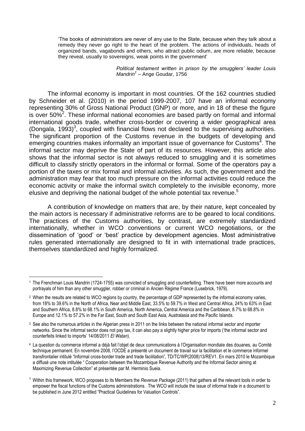'The books of administrators are never of any use to the State, because when they talk about a remedy they never go right to the heart of the problem. The actions of individuals, heads of organized bands, vagabonds and others, who attract public odium, are more reliable, because they reveal, usually to sovereigns, weak points in the government'

> *Political testament written in prison by the smugglers' leader Louis Mandrin<sup>1</sup>* – Ange Goudar, 1756

The informal economy is important in most countries. Of the 162 countries studied by Schneider et al. (2010) in the period 1999-2007, 107 have an informal economy representing 30% of Gross National Product (GNP) or more, and in 18 of these the figure is over  $50\%^2$ . These informal national economies are based partly on formal and informal international goods trade, whether cross-border or covering a wider geographical area (Dongala, 1993)<sup>3</sup>, coupled with financial flows not declared to the supervising authorities. The significant proportion of the Customs revenue in the budgets of developing and emerging countries makes informality an important issue of governance for Customs<sup>4</sup>. The informal sector may deprive the State of part of its resources. However, this article also shows that the informal sector is not always reduced to smuggling and it is sometimes difficult to classify strictly operators in the informal or formal. Some of the operators pay a portion of the taxes or mix formal and informal activities. As such, the government and the administration may fear that too much pressure on the informal activities could reduce the economic activity or make the informal switch completely to the invisible economy, more elusive and depriving the national budget of the whole potential tax revenue.<sup>5</sup>

A contribution of knowledge on matters that are, by their nature, kept concealed by the main actors is necessary if administrative reforms are to be geared to local conditions. The practices of the Customs authorities, by contrast, are extremely standardized internationally, whether in WCO conventions or current WCO negotiations, or the dissemination of 'good' or 'best' practice by development agencies. Most administrative rules generated internationally are designed to fit in with international trade practices, themselves standardized and highly formalized.

 $\overline{a}$ 

<sup>1</sup> The Frenchman Louis Mandrin (1724-1755) was convicted of smuggling and counterfeiting. There have been more accounts and portrayals of him than any other smuggler, robber or criminal in Ancien Régime France (Lusebrick, 1979).

<sup>&</sup>lt;sup>2</sup> When the results are related to WCO regions by country, the percentage of GDP represented by the informal economy varies, from 18% to 39.6% in the North of Africa, Near and Middle East, 33.5% to 59.7% in West and Central Africa, 24% to 63% in East and Southern Africa, 8.8% to 68.1% in South America, North America, Central America and the Caribbean, 8.7% to 68.8% in Europe and 12.1% to 57.2% in the Far East, South and South East Asia, Australasia and the Pacific Islands.

<sup>&</sup>lt;sup>3</sup> See also the numerous articles in the Algerian press in 2011 on the links between the national informal sector and importer networks. Since the informal sector does not pay tax, it can also pay a slightly higher price for imports ('the informal sector and counterfeits linked to imports' 14/08/2011 *El Watan*).

<sup>4</sup> La question du commerce informel a déjà fait l'objet de deux communications à l'Organisation mondiale des douanes, au Comité technique permanent. En novembre 2008, l'OCDE a présenté un document de travail sur la facilitation et le commerce informel transfrontalier intitulé "Informal cross-border trade and trade facilitation", TD/TC/WP(2008)13/REV1. En mars 2010 le Mozambique a diffusé une note intitulée " Cooperation between the Mozambique Revenue Authority and the Informal Sector aiming at Maximizing Revenue Collection" et présentée par M. Herminio Sueia.

<sup>5</sup> Within this framework, WCO proposes to its Members the *Revenue Package* (2011) that gathers all the relevant tools in order to empower the fiscal functions of the Customs administrations. The WCO will include the issue of informal trade in a document to be published in June 2012 entitled "Practical Guidelines for Valuation Controls".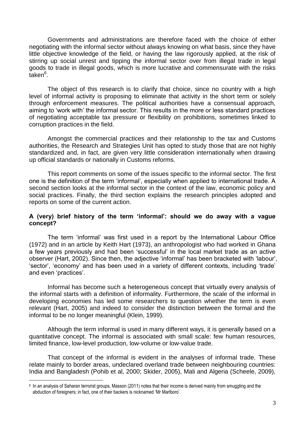Governments and administrations are therefore faced with the choice of either negotiating with the informal sector without always knowing on what basis, since they have little objective knowledge of the field, or having the law rigorously applied, at the risk of stirring up social unrest and tipping the informal sector over from illegal trade in legal goods to trade in illegal goods, which is more lucrative and commensurate with the risks  $\bar{\mathsf{t}}$ aken $^6$ .

The object of this research is to clarify that choice, since no country with a high level of informal activity is proposing to eliminate that activity in the short term or solely through enforcement measures. The political authorities have a consensual approach, aiming to 'work with' the informal sector. This results in the more or less standard practices of negotiating acceptable tax pressure or flexibility on prohibitions, sometimes linked to corruption practices in the field.

Amongst the commercial practices and their relationship to the tax and Customs authorities, the Research and Strategies Unit has opted to study those that are not highly standardized and, in fact, are given very little consideration internationally when drawing up official standards or nationally in Customs reforms.

This report comments on some of the issues specific to the informal sector. The first one is the definition of the term 'informal', especially when applied to international trade. A second section looks at the informal sector in the context of the law, economic policy and social practices. Finally, the third section explains the research principles adopted and reports on some of the current action.

# **A (very) brief history of the term 'informal': should we do away with a vague concept?**

The term 'informal' was first used in a report by the International Labour Office (1972) and in an article by Keith Hart (1973), an anthropologist who had worked in Ghana a few years previously and had been 'successful' in the local market trade as an active observer (Hart, 2002). Since then, the adjective 'informal' has been bracketed with 'labour', 'sector', 'economy' and has been used in a variety of different contexts, including 'trade' and even 'practices'.

Informal has become such a heterogeneous concept that virtually every analysis of the informal starts with a definition of informality. Furthermore, the scale of the informal in developing economies has led some researchers to question whether the term is even relevant (Hart, 2005) and indeed to consider the distinction between the formal and the informal to be no longer meaningful (Klein, 1999).

Although the term informal is used in many different ways, it is generally based on a quantitative concept. The informal is associated with small scale: few human resources, limited finance, low-level production, low-volume or low-value trade.

That concept of the informal is evident in the analyses of informal trade. These relate mainly to border areas, undeclared overland trade between neighbouring countries: India and Bangladesh (Pohib et al, 2000; Skider, 2005), Mali and Algeria (Scheele, 2009),

 $\overline{a}$ 

<sup>6</sup> In an analysis of Saharan terrorist groups, Masson (2011) notes that their income is derived mainly from smuggling and the abduction of foreigners; in fact, one of their backers is nicknamed 'Mr Marlboro'.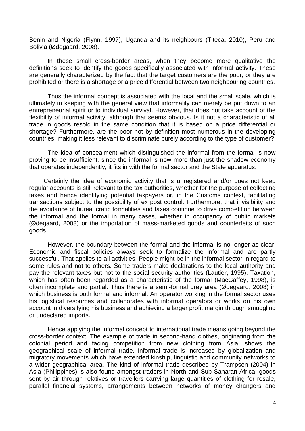Benin and Nigeria (Flynn, 1997), Uganda and its neighbours (Titeca, 2010), Peru and Bolivia (Ødegaard, 2008).

In these small cross-border areas, when they become more qualitative the definitions seek to identify the goods specifically associated with informal activity. These are generally characterized by the fact that the target customers are the poor, or they are prohibited or there is a shortage or a price differential between two neighbouring countries.

Thus the informal concept is associated with the local and the small scale, which is ultimately in keeping with the general view that informality can merely be put down to an entrepreneurial spirit or to individual survival. However, that does not take account of the flexibility of informal activity, although that seems obvious. Is it not a characteristic of all trade in goods resold in the same condition that it is based on a price differential or shortage? Furthermore, are the poor not by definition most numerous in the developing countries, making it less relevant to discriminate purely according to the type of customer?

The idea of concealment which distinguished the informal from the formal is now proving to be insufficient, since the informal is now more than just the shadow economy that operates independently; it fits in with the formal sector and the State apparatus.

Certainly the idea of economic activity that is unregistered and/or does not keep regular accounts is still relevant to the tax authorities, whether for the purpose of collecting taxes and hence identifying potential taxpayers or, in the Customs context, facilitating transactions subject to the possibility of ex post control. Furthermore, that invisibility and the avoidance of bureaucratic formalities and taxes continue to drive competition between the informal and the formal in many cases, whether in occupancy of public markets (Ødegaard, 2008) or the importation of mass-marketed goods and counterfeits of such goods.

However, the boundary between the formal and the informal is no longer as clear. Economic and fiscal policies always seek to formalize the informal and are partly successful. That applies to all activities. People might be in the informal sector in regard to some rules and not to others. Some traders make declarations to the local authority and pay the relevant taxes but not to the social security authorities (Lautier, 1995). Taxation, which has often been regarded as a characteristic of the formal (MacGaffey, 1998), is often incomplete and partial. Thus there is a semi-formal grey area (Ødegaard, 2008) in which business is both formal and informal. An operator working in the formal sector uses his logistical resources and collaborates with informal operators or works on his own account in diversifying his business and achieving a larger profit margin through smuggling or undeclared imports.

Hence applying the informal concept to international trade means going beyond the cross-border context. The example of trade in second-hand clothes, originating from the colonial period and facing competition from new clothing from Asia, shows the geographical scale of informal trade. Informal trade is increased by globalization and migratory movements which have extended kinship, linguistic and community networks to a wider geographical area. The kind of informal trade described by Trampsen (2004) in Asia (Philippines) is also found amongst traders in North and Sub-Saharan Africa: goods sent by air through relatives or travellers carrying large quantities of clothing for resale. parallel financial systems, arrangements between networks of money changers and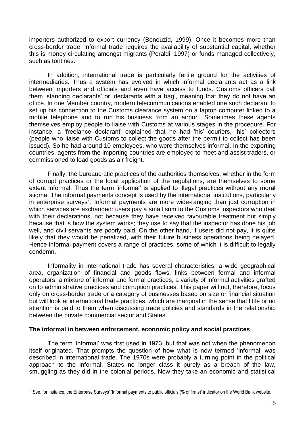importers authorized to export currency (Benouzid, 1999). Once it becomes more than cross-border trade, informal trade requires the availability of substantial capital, whether this is money circulating amongst migrants (Peraldi, 1997) or funds managed collectively, such as tontines.

In addition, international trade is particularly fertile ground for the activities of intermediaries. Thus a system has evolved in which informal declarants act as a link between importers and officials and even have access to funds. Customs officers call them 'standing declarants' or 'declarants with a bag', meaning that they do not have an office. In one Member country, modern telecommunications enabled one such declarant to set up his connection to the Customs clearance system on a laptop computer linked to a mobile telephone and to run his business from an airport. Sometimes these agents themselves employ people to liaise with Customs at various stages in the procedure. For instance, a 'freelance declarant' explained that he had 'his' couriers, 'his' collectors (people who liaise with Customs to collect the goods after the permit to collect has been issued). So he had around 10 employees, who were themselves informal. In the exporting countries, agents from the importing countries are employed to meet and assist traders, or commissioned to load goods as air freight.

Finally, the bureaucratic practices of the authorities themselves, whether in the form of corrupt practices or the local application of the regulations, are themselves to some extent informal. Thus the term 'informal' is applied to illegal practices without any moral stigma. The informal payments concept is used by the international institutions, particularly in enterprise surveys<sup>7</sup>. Informal payments are more wide-ranging than just corruption in which services are exchanged: users pay a small sum to the Customs inspectors who deal with their declarations, not because they have received favourable treatment but simply because that is how the system works; they use to say that the inspector has done his job well, and civil servants are poorly paid. On the other hand, if users did not pay, it is quite likely that they would be penalized, with their future business operations being delayed. Hence informal payment covers a range of practices, some of which it is difficult to legally condemn.

Informality in international trade has several characteristics: a wide geographical area, organization of financial and goods flows, links between formal and informal operators, a mixture of informal and formal practices, a variety of informal activities grafted on to administrative practices and corruption practices. This paper will not, therefore, focus only on cross-border trade or a category of businesses based on size or financial situation but will look at international trade practices, which are marginal in the sense that little or no attention is paid to them when discussing trade policies and standards in the relationship between the private commercial sector and States.

# **The informal in between enforcement, economic policy and social practices**

 $\overline{a}$ 

The term 'informal' was first used in 1973, but that was not when the phenomenon itself originated. That prompts the question of how what is now termed 'informal' was described in international trade. The 1970s were probably a turning point in the political approach to the informal. States no longer class it purely as a breach of the law, smuggling as they did in the colonial periods. Now they take an economic and statistical

<sup>7</sup> See, for instance, the Enterprise Surveys' 'Informal payments to public officials (% of firms)' indicator on the World Bank website.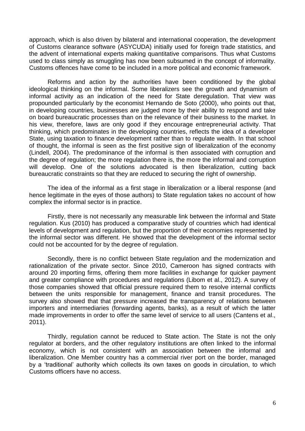approach, which is also driven by bilateral and international cooperation, the development of Customs clearance software (ASYCUDA) initially used for foreign trade statistics, and the advent of international experts making quantitative comparisons. Thus what Customs used to class simply as smuggling has now been subsumed in the concept of informality. Customs offences have come to be included in a more political and economic framework.

Reforms and action by the authorities have been conditioned by the global ideological thinking on the informal. Some liberalizers see the growth and dynamism of informal activity as an indication of the need for State deregulation. That view was propounded particularly by the economist Hernando de Soto (2000), who points out that, in developing countries, businesses are judged more by their ability to respond and take on board bureaucratic processes than on the relevance of their business to the market. In his view, therefore, laws are only good if they encourage entrepreneurial activity. That thinking, which predominates in the developing countries, reflects the idea of a developer State, using taxation to finance development rather than to regulate wealth. In that school of thought, the informal is seen as the first positive sign of liberalization of the economy (Lindell, 2004). The predominance of the informal is then associated with corruption and the degree of regulation; the more regulation there is, the more the informal and corruption will develop. One of the solutions advocated is then liberalization, cutting back bureaucratic constraints so that they are reduced to securing the right of ownership.

The idea of the informal as a first stage in liberalization or a liberal response (and hence legitimate in the eyes of those authors) to State regulation takes no account of how complex the informal sector is in practice.

Firstly, there is not necessarily any measurable link between the informal and State regulation. Kus (2010) has produced a comparative study of countries which had identical levels of development and regulation, but the proportion of their economies represented by the informal sector was different. He showed that the development of the informal sector could not be accounted for by the degree of regulation.

Secondly, there is no conflict between State regulation and the modernization and rationalization of the private sector. Since 2010, Cameroon has signed contracts with around 20 importing firms, offering them more facilities in exchange for quicker payment and greater compliance with procedures and regulations (Libom et al., 2012). A survey of those companies showed that official pressure required them to resolve internal conflicts between the units responsible for management, finance and transit procedures. The survey also showed that that pressure increased the transparency of relations between importers and intermediaries (forwarding agents, banks), as a result of which the latter made improvements in order to offer the same level of service to all users (Cantens et al., 2011).

Thirdly, regulation cannot be reduced to State action. The State is not the only regulator at borders, and the other regulatory institutions are often linked to the informal economy, which is not consistent with an association between the informal and liberalization. One Member country has a commercial river port on the border, managed by a 'traditional' authority which collects its own taxes on goods in circulation, to which Customs officers have no access.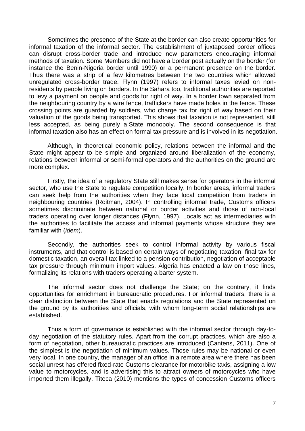Sometimes the presence of the State at the border can also create opportunities for informal taxation of the informal sector. The establishment of juxtaposed border offices can disrupt cross-border trade and introduce new parameters encouraging informal methods of taxation. Some Members did not have a border post actually on the border (for instance the Benin-Nigeria border until 1990) or a permanent presence on the border. Thus there was a strip of a few kilometres between the two countries which allowed unregulated cross-border trade. Flynn (1997) refers to informal taxes levied on nonresidents by people living on borders. In the Sahara too, traditional authorities are reported to levy a payment on people and goods for right of way. In a border town separated from the neighbouring country by a wire fence, traffickers have made holes in the fence. These crossing points are guarded by soldiers, who charge tax for right of way based on their valuation of the goods being transported. This shows that taxation is not represented, still less accepted, as being purely a State monopoly. The second consequence is that informal taxation also has an effect on formal tax pressure and is involved in its negotiation.

Although, in theoretical economic policy, relations between the informal and the State might appear to be simple and organized around liberalization of the economy, relations between informal or semi-formal operators and the authorities on the ground are more complex.

Firstly, the idea of a regulatory State still makes sense for operators in the informal sector, who use the State to regulate competition locally. In border areas, informal traders can seek help from the authorities when they face local competition from traders in neighbouring countries (Roitman, 2004). In controlling informal trade, Customs officers sometimes discriminate between national or border activities and those of non-local traders operating over longer distances (Flynn, 1997). Locals act as intermediaries with the authorities to facilitate the access and informal payments whose structure they are familiar with (*idem*).

Secondly, the authorities seek to control informal activity by various fiscal instruments, and that control is based on certain ways of negotiating taxation: final tax for domestic taxation, an overall tax linked to a pension contribution, negotiation of acceptable tax pressure through minimum import values. Algeria has enacted a law on those lines, formalizing its relations with traders operating a barter system.

The informal sector does not challenge the State; on the contrary, it finds opportunities for enrichment in bureaucratic procedures. For informal traders, there is a clear distinction between the State that enacts regulations and the State represented on the ground by its authorities and officials, with whom long-term social relationships are established.

Thus a form of governance is established with the informal sector through day-today negotiation of the statutory rules. Apart from the corrupt practices, which are also a form of negotiation, other bureaucratic practices are introduced (Cantens, 2011). One of the simplest is the negotiation of minimum values. Those rules may be national or even very local. In one country, the manager of an office in a remote area where there has been social unrest has offered fixed-rate Customs clearance for motorbike taxis, assigning a low value to motorcycles, and is advertising this to attract owners of motorcycles who have imported them illegally. Titeca (2010) mentions the types of concession Customs officers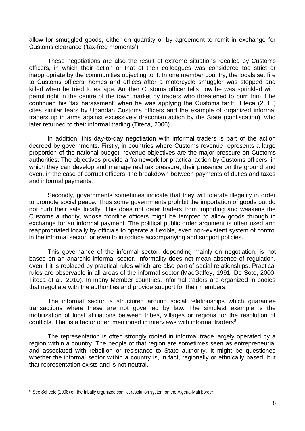allow for smuggled goods, either on quantity or by agreement to remit in exchange for Customs clearance ('tax-free moments').

These negotiations are also the result of extreme situations recalled by Customs officers, in which their action or that of their colleagues was considered too strict or inappropriate by the communities objecting to it. In one member country, the locals set fire to Customs officers' homes and offices after a motorcycle smuggler was stopped and killed when he tried to escape. Another Customs officer tells how he was sprinkled with petrol right in the centre of the town market by traders who threatened to burn him if he continued his 'tax harassment' when he was applying the Customs tariff. Titeca (2010) cites similar fears by Ugandan Customs officers and the example of organized informal traders up in arms against excessively draconian action by the State (confiscation), who later returned to their informal trading (Titeca, 2006).

In addition, this day-to-day negotiation with informal traders is part of the action decreed by governments. Firstly, in countries where Customs revenue represents a large proportion of the national budget, revenue objectives are the major pressure on Customs authorities. The objectives provide a framework for practical action by Customs officers, in which they can develop and manage real tax pressure, their presence on the ground and even, in the case of corrupt officers, the breakdown between payments of duties and taxes and informal payments.

Secondly, governments sometimes indicate that they will tolerate illegality in order to promote social peace. Thus some governments prohibit the importation of goods but do not curb their sale locally. This does not deter traders from importing and weakens the Customs authority, whose frontline officers might be tempted to allow goods through in exchange for an informal payment. The political public order argument is often used and reappropriated locally by officials to operate a flexible, even non-existent system of control in the informal sector, or even to introduce accompanying and support policies.

This governance of the informal sector, depending mainly on negotiation, is not based on an anarchic informal sector. Informality does not mean absence of regulation, even if it is replaced by practical rules which are also part of social relationships. Practical rules are observable in all areas of the informal sector (MacGaffey, 1991; De Soto, 2000; Titeca et al., 2010). In many Member countries, informal traders are organized in bodies that negotiate with the authorities and provide support for their members.

The informal sector is structured around social relationships which guarantee transactions where these are not governed by law. The simplest example is the mobilization of local affiliations between tribes, villages or regions for the resolution of conflicts. That is a factor often mentioned in interviews with informal traders $8$ .

The representation is often strongly rooted in informal trade largely operated by a region within a country. The people of that region are sometimes seen as entrepreneurial and associated with rebellion or resistance to State authority. It might be questioned whether the informal sector within a country is, in fact, regionally or ethnically based, but that representation exists and is not neutral.

 $\overline{a}$ 

<sup>8</sup> See Scheele (2008) on the tribally organized conflict resolution system on the Algeria-Mali border.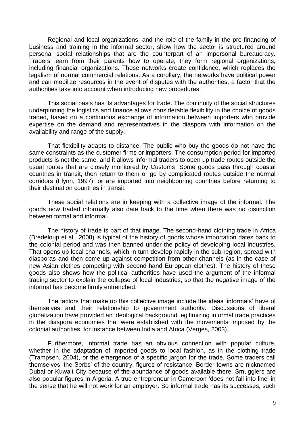Regional and local organizations, and the role of the family in the pre-financing of business and training in the informal sector, show how the sector is structured around personal social relationships that are the counterpart of an impersonal bureaucracy. Traders learn from their parents how to operate; they form regional organizations, including financial organizations. Those networks create confidence, which replaces the legalism of normal commercial relations. As a corollary, the networks have political power and can mobilize resources in the event of disputes with the authorities, a factor that the authorities take into account when introducing new procedures.

This social basis has its advantages for trade. The continuity of the social structures underpinning the logistics and finance allows considerable flexibility in the choice of goods traded, based on a continuous exchange of information between importers who provide expertise on the demand and representatives in the diaspora with information on the availability and range of the supply.

That flexibility adapts to distance. The public who buy the goods do not have the same constraints as the customer firms or importers. The consumption period for imported products is not the same, and it allows informal traders to open up trade routes outside the usual routes that are closely monitored by Customs. Some goods pass through coastal countries in transit, then return to them or go by complicated routes outside the normal corridors (Flynn, 1997), or are imported into neighbouring countries before returning to their destination countries in transit.

These social relations are in keeping with a collective image of the informal. The goods now traded informally also date back to the time when there was no distinction between formal and informal.

The history of trade is part of that image. The second-hand clothing trade in Africa (Bredeloup et al., 2008) is typical of the history of goods whose importation dates back to the colonial period and was then banned under the policy of developing local industries. That opens up local channels, which in turn develop rapidly in the sub-region, spread with diasporas and then come up against competition from other channels (as in the case of new Asian clothes competing with second-hand European clothes). The history of these goods also shows how the political authorities have used the argument of the informal trading sector to explain the collapse of local industries, so that the negative image of the informal has become firmly entrenched.

The factors that make up this collective image include the ideas 'informals' have of themselves and their relationship to government authority. Discussions of liberal globalization have provided an ideological background legitimizing informal trade practices in the diaspora economies that were established with the movements imposed by the colonial authorities, for instance between India and Africa (Verges, 2003).

Furthermore, informal trade has an obvious connection with popular culture, whether in the adaptation of imported goods to local fashion, as in the clothing trade (Trampsen, 2004), or the emergence of a specific jargon for the trade. Some traders call themselves 'the Serbs' of the country, figures of resistance. Border towns are nicknamed Dubai or Kuwait City because of the abundance of goods available there. Smugglers are also popular figures in Algeria. A true entrepreneur in Cameroon 'does not fall into line' in the sense that he will not work for an employer. So informal trade has its successes, such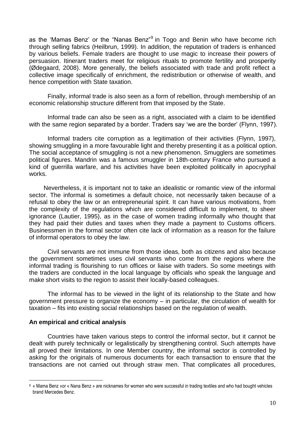as the 'Mamas Benz' or the "Nanas Benz"<sup>9</sup> in Togo and Benin who have become rich through selling fabrics (Heilbrun, 1999). In addition, the reputation of traders is enhanced by various beliefs. Female traders are thought to use magic to increase their powers of persuasion. Itinerant traders meet for religious rituals to promote fertility and prosperity (Ødegaard, 2008). More generally, the beliefs associated with trade and profit reflect a collective image specifically of enrichment, the redistribution or otherwise of wealth, and hence competition with State taxation.

Finally, informal trade is also seen as a form of rebellion, through membership of an economic relationship structure different from that imposed by the State.

Informal trade can also be seen as a right, associated with a claim to be identified with the same region separated by a border. Traders say 'we are the border' (Flynn, 1997).

Informal traders cite corruption as a legitimation of their activities (Flynn, 1997), showing smuggling in a more favourable light and thereby presenting it as a political option. The social acceptance of smuggling is not a new phenomenon. Smugglers are sometimes political figures. Mandrin was a famous smuggler in 18th-century France who pursued a kind of guerrilla warfare, and his activities have been exploited politically in apocryphal works.

Nevertheless, it is important not to take an idealistic or romantic view of the informal sector. The informal is sometimes a default choice, not necessarily taken because of a refusal to obey the law or an entrepreneurial spirit. It can have various motivations, from the complexity of the regulations which are considered difficult to implement, to sheer ignorance (Lautier, 1995), as in the case of women trading informally who thought that they had paid their duties and taxes when they made a payment to Customs officers. Businessmen in the formal sector often cite lack of information as a reason for the failure of informal operators to obey the law.

Civil servants are not immune from those ideas, both as citizens and also because the government sometimes uses civil servants who come from the regions where the informal trading is flourishing to run offices or liaise with traders. So some meetings with the traders are conducted in the local language by officials who speak the language and make short visits to the region to assist their locally-based colleagues.

The informal has to be viewed in the light of its relationship to the State and how government pressure to organize the economy – in particular, the circulation of wealth for taxation – fits into existing social relationships based on the regulation of wealth.

# **An empirical and critical analysis**

 $\overline{a}$ 

Countries have taken various steps to control the informal sector, but it cannot be dealt with purely technically or legalistically by strengthening control. Such attempts have all proved their limitations. In one Member country, the informal sector is controlled by asking for the originals of numerous documents for each transaction to ensure that the transactions are not carried out through straw men. That complicates all procedures,

<sup>9</sup> « Mama Benz »or « Nana Benz » are nicknames for women who were successful in trading textiles and who had bought vehicles brand Mercedes Benz.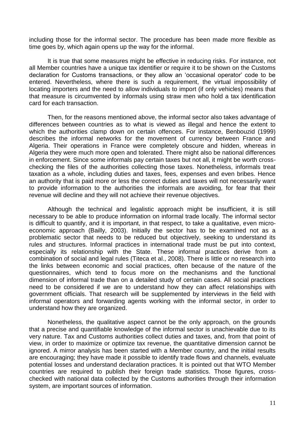including those for the informal sector. The procedure has been made more flexible as time goes by, which again opens up the way for the informal.

It is true that some measures might be effective in reducing risks. For instance, not all Member countries have a unique tax identifier or require it to be shown on the Customs declaration for Customs transactions, or they allow an 'occasional operator' code to be entered. Nevertheless, where there is such a requirement, the virtual impossibility of locating importers and the need to allow individuals to import (if only vehicles) means that that measure is circumvented by informals using straw men who hold a tax identification card for each transaction.

Then, for the reasons mentioned above, the informal sector also takes advantage of differences between countries as to what is viewed as illegal and hence the extent to which the authorities clamp down on certain offences. For instance, Benbouzid (1999) describes the informal networks for the movement of currency between France and Algeria. Their operations in France were completely obscure and hidden, whereas in Algeria they were much more open and tolerated. There might also be national differences in enforcement. Since some informals pay certain taxes but not all, it might be worth crosschecking the files of the authorities collecting those taxes. Nonetheless, informals treat taxation as a whole, including duties and taxes, fees, expenses and even bribes. Hence an authority that is paid more or less the correct duties and taxes will not necessarily want to provide information to the authorities the informals are avoiding, for fear that their revenue will decline and they will not achieve their revenue objectives.

Although the technical and legalistic approach might be insufficient, it is still necessary to be able to produce information on informal trade locally. The informal sector is difficult to quantify, and it is important, in that respect, to take a qualitative, even microeconomic approach (Bailly, 2003). Initially the sector has to be examined not as a problematic sector that needs to be reduced but objectively, seeking to understand its rules and structures. Informal practices in international trade must be put into context, especially its relationship with the State. These informal practices derive from a combination of social and legal rules (Titeca et al., 2008). There is little or no research into the links between economic and social practices, often because of the nature of the questionnaires, which tend to focus more on the mechanisms and the functional dimension of informal trade than on a detailed study of certain cases. All social practices need to be considered if we are to understand how they can affect relationships with government officials. That research will be supplemented by interviews in the field with informal operators and forwarding agents working with the informal sector, in order to understand how they are organized.

Nonetheless, the qualitative aspect cannot be the only approach, on the grounds that a precise and quantifiable knowledge of the informal sector is unachievable due to its very nature. Tax and Customs authorities collect duties and taxes, and, from that point of view, in order to maximize or optimize tax revenue, the quantitative dimension cannot be ignored. A mirror analysis has been started with a Member country, and the initial results are encouraging; they have made it possible to identify trade flows and channels, evaluate potential losses and understand declaration practices. It is pointed out that WTO Member countries are required to publish their foreign trade statistics. Those figures, crosschecked with national data collected by the Customs authorities through their information system, are important sources of information.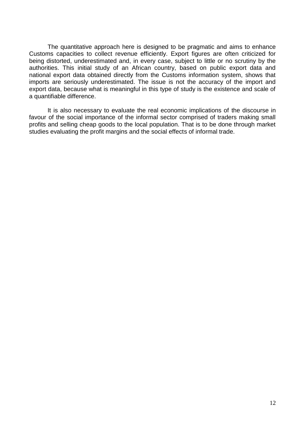The quantitative approach here is designed to be pragmatic and aims to enhance Customs capacities to collect revenue efficiently. Export figures are often criticized for being distorted, underestimated and, in every case, subject to little or no scrutiny by the authorities. This initial study of an African country, based on public export data and national export data obtained directly from the Customs information system, shows that imports are seriously underestimated. The issue is not the accuracy of the import and export data, because what is meaningful in this type of study is the existence and scale of a quantifiable difference.

It is also necessary to evaluate the real economic implications of the discourse in favour of the social importance of the informal sector comprised of traders making small profits and selling cheap goods to the local population. That is to be done through market studies evaluating the profit margins and the social effects of informal trade.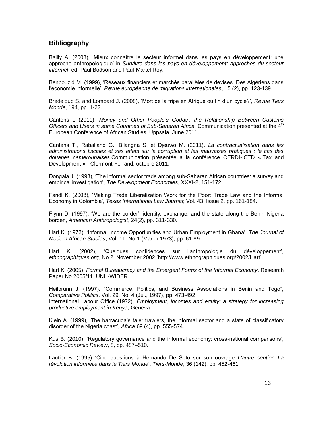# **Bibliography**

Bailly A. (2003), 'Mieux connaître le secteur informel dans les pays en développement: une approche anthropologique' in *Survivre dans les pays en développement: approches du secteur informel*, ed. Paul Bodson and Paul-Martel Roy.

Benbouzid M. (1999), 'Réseaux financiers et marchés parallèles de devises. Des Algériens dans l'économie informelle', *Revue européenne de migrations internationales*, 15 (2), pp. 123-139.

Bredeloup S. and Lombard J. (2008), 'Mort de la fripe en Afrique ou fin d'un cycle?', *Revue Tiers Monde*, 194, pp. 1-22.

Cantens t. (2011). *Money and Other People's Godds : the Relationship Between Customs Officers and Users in some Countries of Sub-Saharan Africa*. Communication presented at the 4th European Conference of African Studies, Uppsala, June 2011.

Cantens T., Raballand G., Bilangna S. et Djeuwo M. (2011). *La contractualisation dans les administrations fiscales et ses effets sur la corruption et les mauvaises pratiques : le cas des douanes camerounaises.*Communication présentée à la conférence CERDI-ICTD « Tax and Development » - Clermont-Ferrand, octobre 2011.

Dongala J. (1993), 'The informal sector trade among sub-Saharan African countries: a survey and empirical investigation', *The Development Economies*, XXXI-2, 151-172.

Fandl K. (2008), 'Making Trade Liberalization Work for the Poor: Trade Law and the Informal Economy in Colombia', *Texas International Law Journal*; Vol. 43, Issue 2, pp. 161-184.

Flynn D. (1997), 'We are the border': identity, exchange, and the state along the Benin-Nigeria border', *American Anthropologist*, 24(2), pp. 311-330.

Hart K. (1973), 'Informal Income Opportunities and Urban Employment in Ghana', *The Journal of Modern African Studies*, Vol. 11, No 1 (March 1973), pp. 61-89.

Hart K. (2002), 'Quelques confidences sur l'anthropologie du développement', *ethnographiques.org,* No 2, November 2002 [http://www.ethnographiques.org/2002/Hart].

Hart K. (2005), *Formal Bureaucracy and the Emergent Forms of the Informal Economy*, Research Paper No 2005/11, UNU-WIDER.

Heilbrunn J. (1997). "Commerce, Politics, and Business Associations in Benin and Togo", *Comparative Politics*, Vol. 29, No. 4 (Jul., 1997), pp. 473-492 International Labour Office (1972), *Employment, incomes and equity: a strategy for increasing* 

*productive employment in Kenya*, Geneva.

Klein A. (1999), 'The barracuda's tale: trawlers, the informal sector and a state of classificatory disorder of the Nigeria coast', *Africa* 69 (4), pp. 555-574.

Kus B. (2010), 'Regulatory governance and the informal economy: cross-national comparisons', *Socio-Economic Review*, 8, pp. 487–510.

Lautier B. (1995), 'Cinq questions à Hernando De Soto sur son ouvrage *L'autre sentier. La révolution informelle dans le Tiers Monde*', *Tiers-Monde*, 36 (142), pp. 452-461.